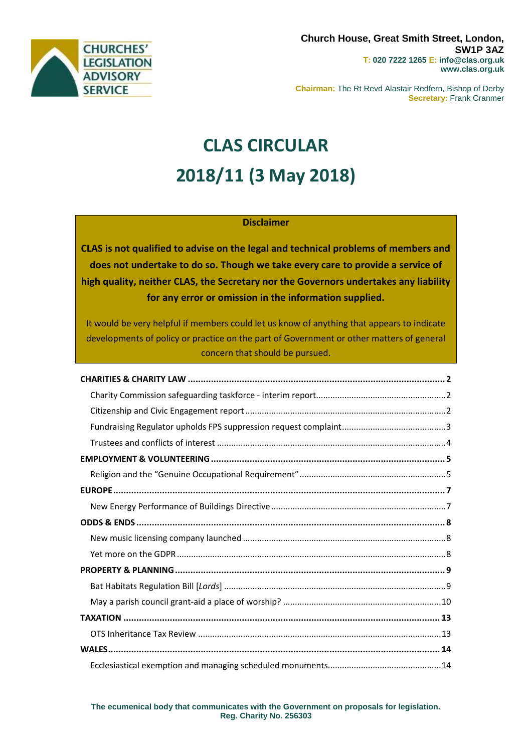

**Chairman:** The Rt Revd Alastair Redfern, Bishop of Derby **Secretary:** Frank Cranmer

# **CLAS CIRCULAR 2018/11 (3 May 2018)**

#### **Disclaimer**

**CLAS is not qualified to advise on the legal and technical problems of members and does not undertake to do so. Though we take every care to provide a service of high quality, neither CLAS, the Secretary nor the Governors undertakes any liability for any error or omission in the information supplied.**

It would be very helpful if members could let us know of anything that appears to indicate developments of policy or practice on the part of Government or other matters of general concern that should be pursued.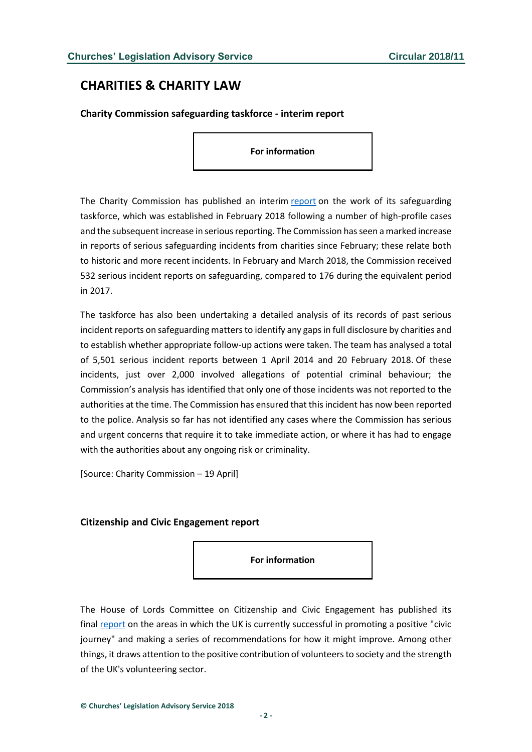# <span id="page-1-0"></span>**CHARITIES & CHARITY LAW**

<span id="page-1-1"></span>**Charity Commission safeguarding taskforce - interim report**

**For information**

The Charity Commission has published an interim [report](http://www.gov.uk/government/news/charity-commission-provides-update-on-work-of-its-interim-safeguarding-taskforce) on the work of its safeguarding taskforce, which was established in February 2018 following a number of high-profile cases and the subsequent increase in serious reporting. The Commission has seen a marked increase in reports of serious safeguarding incidents from charities since February; these relate both to historic and more recent incidents. In February and March 2018, the Commission received 532 serious incident reports on safeguarding, compared to 176 during the equivalent period in 2017.

The taskforce has also been undertaking a detailed analysis of its records of past serious incident reports on safeguarding matters to identify any gaps in full disclosure by charities and to establish whether appropriate follow-up actions were taken. The team has analysed a total of 5,501 serious incident reports between 1 April 2014 and 20 February 2018. Of these incidents, just over 2,000 involved allegations of potential criminal behaviour; the Commission's analysis has identified that only one of those incidents was not reported to the authorities at the time. The Commission has ensured that this incident has now been reported to the police. Analysis so far has not identified any cases where the Commission has serious and urgent concerns that require it to take immediate action, or where it has had to engage with the authorities about any ongoing risk or criminality.

[Source: Charity Commission – 19 April]

#### <span id="page-1-2"></span>**Citizenship and Civic Engagement report**

**For information**

The House of Lords Committee on Citizenship and Civic Engagement has published its final [report](http://publications.parliament.uk/pa/ld201719/ldselect/ldcitizen/118/118.pdf) on the areas in which the UK is currently successful in promoting a positive "civic journey" and making a series of recommendations for how it might improve. Among other things, it draws attention to the positive contribution of volunteers to society and the strength of the UK's volunteering sector.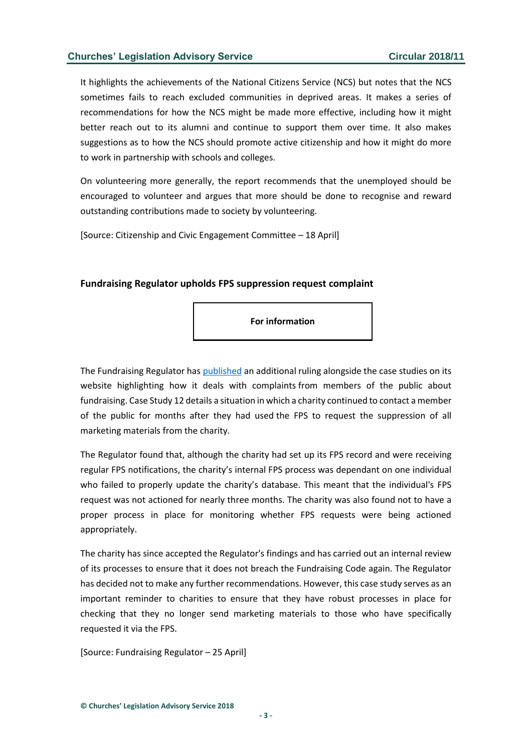It highlights the achievements of the National Citizens Service (NCS) but notes that the NCS sometimes fails to reach excluded communities in deprived areas. It makes a series of recommendations for how the NCS might be made more effective, including how it might better reach out to its alumni and continue to support them over time. It also makes suggestions as to how the NCS should promote active citizenship and how it might do more to work in partnership with schools and colleges.

On volunteering more generally, the report recommends that the unemployed should be encouraged to volunteer and argues that more should be done to recognise and reward outstanding contributions made to society by volunteering.

[Source: Citizenship and Civic Engagement Committee – 18 April]

#### <span id="page-2-0"></span>**Fundraising Regulator upholds FPS suppression request complaint**

**For information**

The Fundraising Regulator has [published](http://www.fundraisingregulator.org.uk/make-a-complaint/case-studies/) an additional ruling alongside the case studies on its website highlighting how it deals with complaints from members of the public about fundraising. Case Study 12 details a situation in which a charity continued to contact a member of the public for months after they had used the FPS to request the suppression of all marketing materials from the charity.

The Regulator found that, although the charity had set up its FPS record and were receiving regular FPS notifications, the charity's internal FPS process was dependant on one individual who failed to properly update the charity's database. This meant that the individual's FPS request was not actioned for nearly three months. The charity was also found not to have a proper process in place for monitoring whether FPS requests were being actioned appropriately.

The charity has since accepted the Regulator's findings and has carried out an internal review of its processes to ensure that it does not breach the Fundraising Code again. The Regulator has decided not to make any further recommendations. However, this case study serves as an important reminder to charities to ensure that they have robust processes in place for checking that they no longer send marketing materials to those who have specifically requested it via the FPS.

[Source: Fundraising Regulator – 25 April]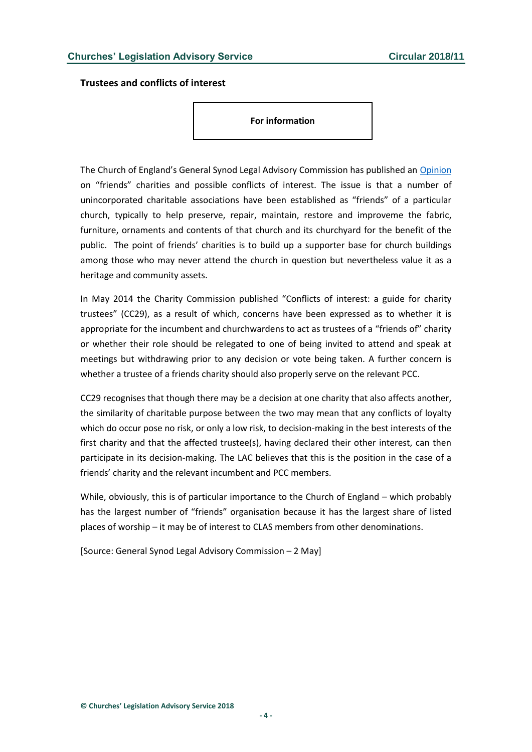<span id="page-3-0"></span>**Trustees and conflicts of interest**

**For information**

The Church of England's General Synod Legal Advisory Commission has published an [Opinion](https://www.churchofengland.org/sites/default/files/2018-02/Friends%20Organisations.pdf) on "friends" charities and possible conflicts of interest. The issue is that a number of unincorporated charitable associations have been established as "friends" of a particular church, typically to help preserve, repair, maintain, restore and improveme the fabric, furniture, ornaments and contents of that church and its churchyard for the benefit of the public. The point of friends' charities is to build up a supporter base for church buildings among those who may never attend the church in question but nevertheless value it as a heritage and community assets.

In May 2014 the Charity Commission published "Conflicts of interest: a guide for charity trustees" (CC29), as a result of which, concerns have been expressed as to whether it is appropriate for the incumbent and churchwardens to act as trustees of a "friends of" charity or whether their role should be relegated to one of being invited to attend and speak at meetings but withdrawing prior to any decision or vote being taken. A further concern is whether a trustee of a friends charity should also properly serve on the relevant PCC.

CC29 recognises that though there may be a decision at one charity that also affects another, the similarity of charitable purpose between the two may mean that any conflicts of loyalty which do occur pose no risk, or only a low risk, to decision-making in the best interests of the first charity and that the affected trustee(s), having declared their other interest, can then participate in its decision-making. The LAC believes that this is the position in the case of a friends' charity and the relevant incumbent and PCC members.

While, obviously, this is of particular importance to the Church of England – which probably has the largest number of "friends" organisation because it has the largest share of listed places of worship – it may be of interest to CLAS members from other denominations.

[Source: General Synod Legal Advisory Commission – 2 May]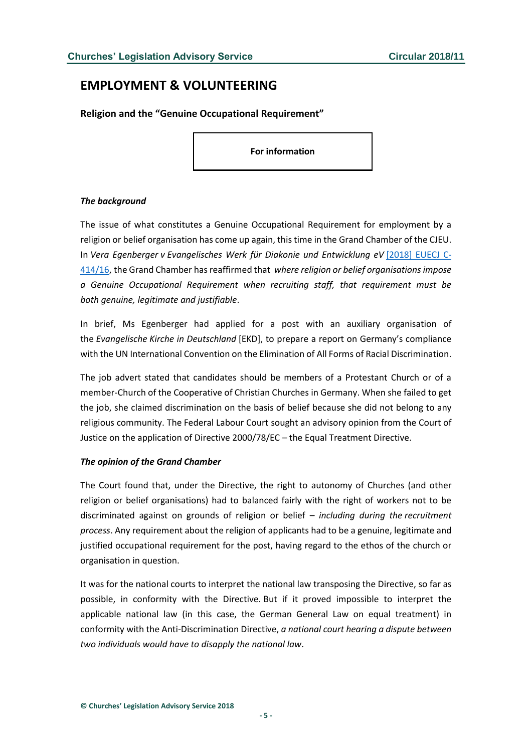# <span id="page-4-0"></span>**EMPLOYMENT & VOLUNTEERING**

<span id="page-4-1"></span>**Religion and the "Genuine Occupational Requirement"**

**For information**

#### *The background*

The issue of what constitutes a Genuine Occupational Requirement for employment by a religion or belief organisation has come up again, this time in the Grand Chamber of the CJEU. In *Vera Egenberger v Evangelisches Werk für Diakonie und Entwicklung eV* [\[2018\] EUECJ C-](http://curia.europa.eu/juris/document/document.jsf;jsessionid=9ea7d0f130debcbad11c48f34a9594d48c9e59e74c5f.e34KaxiLc3eQc40LaxqMbN4Pb38Se0?text=&docid=201148&pageIndex=0&doclang=EN&mode=req&dir=&occ=first&part=1&cid=475799)[414/16,](http://curia.europa.eu/juris/document/document.jsf;jsessionid=9ea7d0f130debcbad11c48f34a9594d48c9e59e74c5f.e34KaxiLc3eQc40LaxqMbN4Pb38Se0?text=&docid=201148&pageIndex=0&doclang=EN&mode=req&dir=&occ=first&part=1&cid=475799) the Grand Chamber has reaffirmed that *where religion or belief organisations impose a Genuine Occupational Requirement when recruiting staff, that requirement must be both genuine, legitimate and justifiable*.

In brief, Ms Egenberger had applied for a post with an auxiliary organisation of the *Evangelische Kirche in Deutschland* [EKD], to prepare a report on Germany's compliance with the UN International Convention on the Elimination of All Forms of Racial Discrimination.

The job advert stated that candidates should be members of a Protestant Church or of a member-Church of the Cooperative of Christian Churches in Germany. When she failed to get the job, she claimed discrimination on the basis of belief because she did not belong to any religious community. The Federal Labour Court sought an advisory opinion from the Court of Justice on the application of Directive 2000/78/EC – the Equal Treatment Directive.

#### *The opinion of the Grand Chamber*

The Court found that, under the Directive, the right to autonomy of Churches (and other religion or belief organisations) had to balanced fairly with the right of workers not to be discriminated against on grounds of religion or belief – *including during the recruitment process*. Any requirement about the religion of applicants had to be a genuine, legitimate and justified occupational requirement for the post, having regard to the ethos of the church or organisation in question.

It was for the national courts to interpret the national law transposing the Directive, so far as possible, in conformity with the Directive. But if it proved impossible to interpret the applicable national law (in this case, the German General Law on equal treatment) in conformity with the Anti-Discrimination Directive, *a national court hearing a dispute between two individuals would have to disapply the national law*.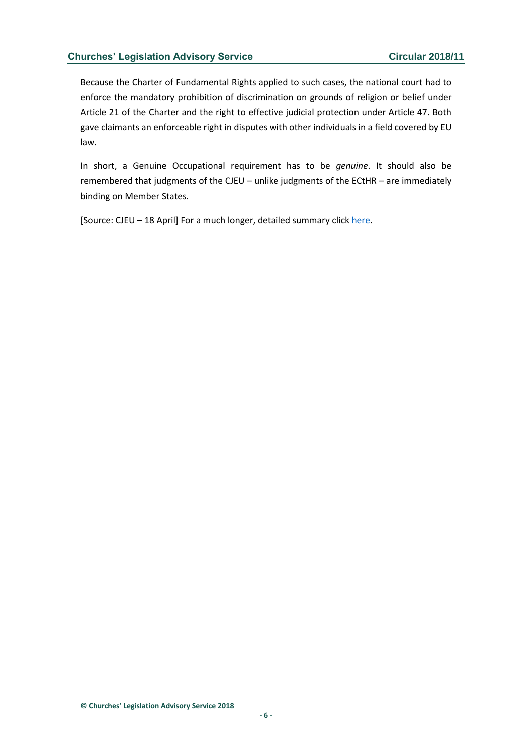Because the Charter of Fundamental Rights applied to such cases, the national court had to enforce the mandatory prohibition of discrimination on grounds of religion or belief under Article 21 of the Charter and the right to effective judicial protection under Article 47. Both gave claimants an enforceable right in disputes with other individuals in a field covered by EU law.

In short, a Genuine Occupational requirement has to be *genuine*. It should also be remembered that judgments of the CJEU – unlike judgments of the ECtHR – are immediately binding on Member States.

[Source: CJEU – 18 April] For a much longer, detailed summary clic[k here.](http://www.lawandreligionuk.com/2018/04/18/religion-and-the-genuine-occupational-requirement-egenberger-the-judgment)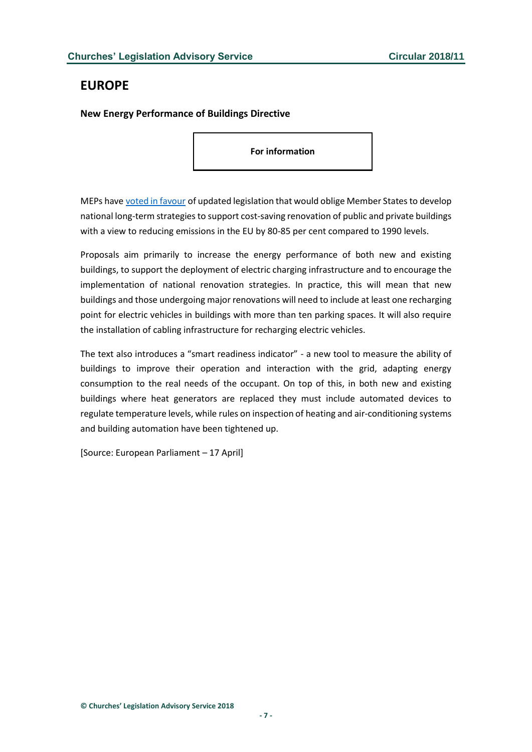# <span id="page-6-0"></span>**EUROPE**

<span id="page-6-1"></span>**New Energy Performance of Buildings Directive**

**For information**

MEPs have [voted in favour](http://www.europarl.europa.eu/news/en/press-room/20180411IPR01516/smarter-and-more-energy-efficient-buildings-in-the-eu-by-2050) of updated legislation that would oblige Member States to develop national long-term strategies to support cost-saving renovation of public and private buildings with a view to reducing emissions in the EU by 80-85 per cent compared to 1990 levels.

Proposals aim primarily to increase the energy performance of both new and existing buildings, to support the deployment of electric charging infrastructure and to encourage the implementation of national renovation strategies. In practice, this will mean that new buildings and those undergoing major renovations will need to include at least one recharging point for electric vehicles in buildings with more than ten parking spaces. It will also require the installation of cabling infrastructure for recharging electric vehicles.

The text also introduces a "smart readiness indicator" - a new tool to measure the ability of buildings to improve their operation and interaction with the grid, adapting energy consumption to the real needs of the occupant. On top of this, in both new and existing buildings where heat generators are replaced they must include automated devices to regulate temperature levels, while rules on inspection of heating and air-conditioning systems and building automation have been tightened up.

[Source: European Parliament – 17 April]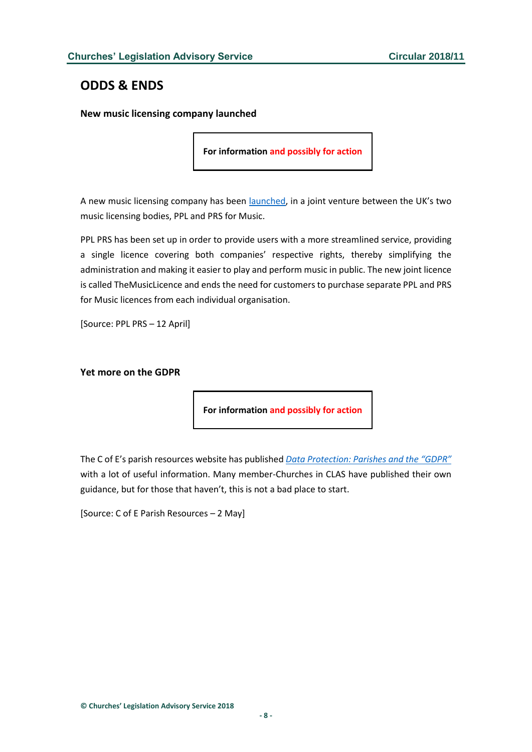# <span id="page-7-0"></span>**ODDS & ENDS**

<span id="page-7-1"></span>**New music licensing company launched**

**For information and possibly for action**

A new music licensing company has been [launched,](https://pplprs.co.uk/) in a joint venture between the UK's two music licensing bodies, PPL and PRS for Music.

PPL PRS has been set up in order to provide users with a more streamlined service, providing a single licence covering both companies' respective rights, thereby simplifying the administration and making it easier to play and perform music in public. The new joint licence is called TheMusicLicence and ends the need for customers to purchase separate PPL and PRS for Music licences from each individual organisation.

[Source: PPL PRS – 12 April]

#### <span id="page-7-2"></span>**Yet more on the GDPR**

**For information and possibly for action**

The C of E's parish resources website has published *[Data Protection: Parishes and the "GDPR"](http://www.parishresources.org.uk/gdpr/)* with a lot of useful information. Many member-Churches in CLAS have published their own guidance, but for those that haven't, this is not a bad place to start.

[Source: C of E Parish Resources – 2 May]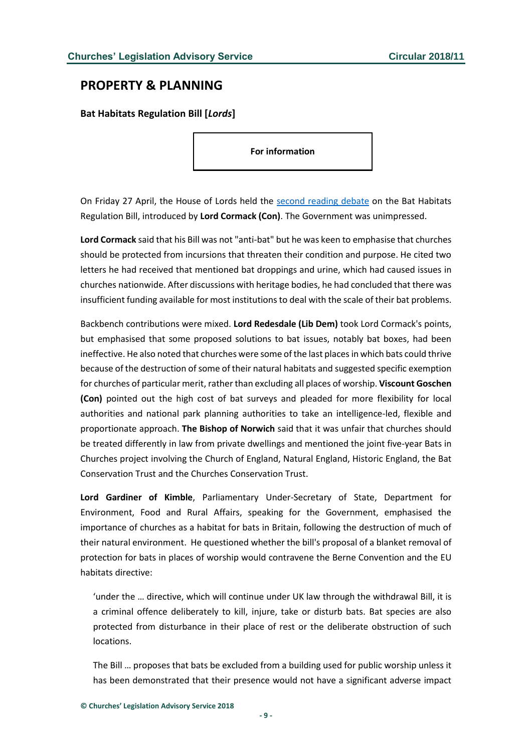## <span id="page-8-0"></span>**PROPERTY & PLANNING**

<span id="page-8-1"></span>**Bat Habitats Regulation Bill [***Lords***]**

**For information**

On Friday 27 April, the House of Lords held the [second reading debate](https://hansard.parliament.uk/lords/2018-04-27/debates/62967252-1BA5-4B6C-ACCA-96CE7E7B7FB0/BatHabitatsRegulationBill(HL)) on the Bat Habitats Regulation Bill, introduced by **Lord Cormack (Con)**. The Government was unimpressed.

**Lord Cormack** said that his Bill was not "anti-bat" but he was keen to emphasise that churches should be protected from incursions that threaten their condition and purpose. He cited two letters he had received that mentioned bat droppings and urine, which had caused issues in churches nationwide. After discussions with heritage bodies, he had concluded that there was insufficient funding available for most institutions to deal with the scale of their bat problems.

Backbench contributions were mixed. **Lord Redesdale (Lib Dem)** took Lord Cormack's points, but emphasised that some proposed solutions to bat issues, notably bat boxes, had been ineffective. He also noted that churches were some of the last places in which bats could thrive because of the destruction of some of their natural habitats and suggested specific exemption for churches of particular merit, rather than excluding all places of worship. **Viscount Goschen (Con)** pointed out the high cost of bat surveys and pleaded for more flexibility for local authorities and national park planning authorities to take an intelligence-led, flexible and proportionate approach. **The Bishop of Norwich** said that it was unfair that churches should be treated differently in law from private dwellings and mentioned the joint five-year Bats in Churches project involving the Church of England, Natural England, Historic England, the Bat Conservation Trust and the Churches Conservation Trust.

**Lord Gardiner of Kimble**, Parliamentary Under-Secretary of State, Department for Environment, Food and Rural Affairs, speaking for the Government, emphasised the importance of churches as a habitat for bats in Britain, following the destruction of much of their natural environment. He questioned whether the bill's proposal of a blanket removal of protection for bats in places of worship would contravene the Berne Convention and the EU habitats directive:

'under the … directive, which will continue under UK law through the withdrawal Bill, it is a criminal offence deliberately to kill, injure, take or disturb bats. Bat species are also protected from disturbance in their place of rest or the deliberate obstruction of such locations.

The Bill … proposes that bats be excluded from a building used for public worship unless it has been demonstrated that their presence would not have a significant adverse impact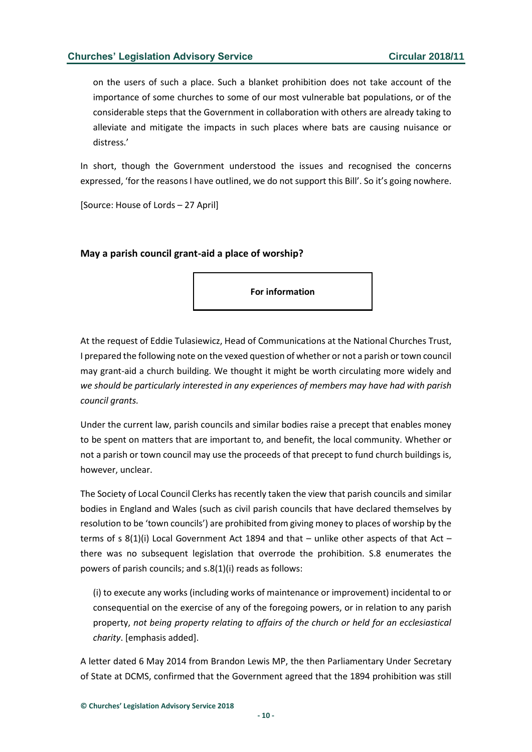on the users of such a place. Such a blanket prohibition does not take account of the importance of some churches to some of our most vulnerable bat populations, or of the considerable steps that the Government in collaboration with others are already taking to alleviate and mitigate the impacts in such places where bats are causing nuisance or distress.'

In short, though the Government understood the issues and recognised the concerns expressed, 'for the reasons I have outlined, we do not support this Bill'. So it's going nowhere.

[Source: House of Lords – 27 April]

#### <span id="page-9-0"></span>**May a parish council grant-aid a place of worship?**

**For information**

At the request of Eddie Tulasiewicz, Head of Communications at the National Churches Trust, I prepared the following note on the vexed question of whether or not a parish or town council may grant-aid a church building. We thought it might be worth circulating more widely and *we should be particularly interested in any experiences of members may have had with parish council grants.*

Under the current law, parish councils and similar bodies raise a precept that enables money to be spent on matters that are important to, and benefit, the local community. Whether or not a parish or town council may use the proceeds of that precept to fund church buildings is, however, unclear.

The Society of Local Council Clerks has recently taken the view that parish councils and similar bodies in England and Wales (such as civil parish councils that have declared themselves by resolution to be 'town councils') are prohibited from giving money to places of worship by the terms of s  $8(1)(i)$  Local Government Act 1894 and that – unlike other aspects of that Act – there was no subsequent legislation that overrode the prohibition. S.8 enumerates the powers of parish councils; and s.8(1)(i) reads as follows:

(i) to execute any works (including works of maintenance or improvement) incidental to or consequential on the exercise of any of the foregoing powers, or in relation to any parish property, *not being property relating to affairs of the church or held for an ecclesiastical charity*. [emphasis added].

A letter dated 6 May 2014 from Brandon Lewis MP, the then Parliamentary Under Secretary of State at DCMS, confirmed that the Government agreed that the 1894 prohibition was still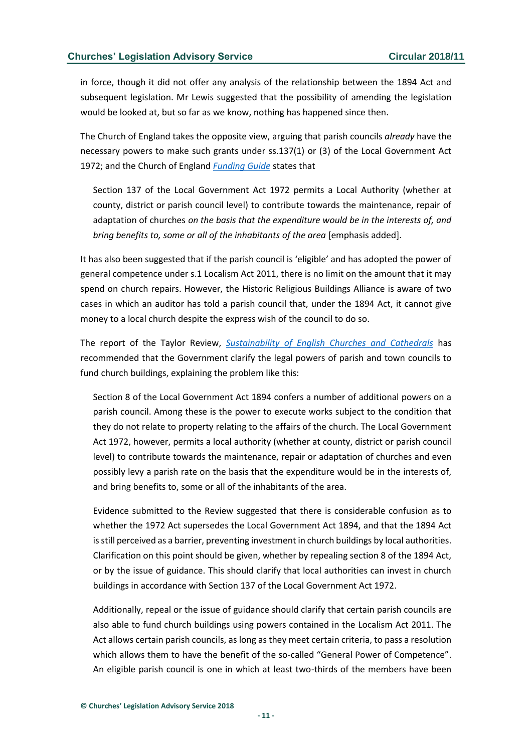in force, though it did not offer any analysis of the relationship between the 1894 Act and subsequent legislation. Mr Lewis suggested that the possibility of amending the legislation would be looked at, but so far as we know, nothing has happened since then.

The Church of England takes the opposite view, arguing that parish councils *already* have the necessary powers to make such grants under ss.137(1) or (3) of the Local Government Act 1972; and the Church of England *[Funding Guide](http://www.parishresources.org.uk/wp-content/uploads/FG13-Local-authorities-and-funding.pdf)* states that

Section 137 of the Local Government Act 1972 permits a Local Authority (whether at county, district or parish council level) to contribute towards the maintenance, repair of adaptation of churches *on the basis that the expenditure would be in the interests of, and bring benefits to, some or all of the inhabitants of the area* [emphasis added].

It has also been suggested that if the parish council is 'eligible' and has adopted the power of general competence under s.1 Localism Act 2011, there is no limit on the amount that it may spend on church repairs. However, the Historic Religious Buildings Alliance is aware of two cases in which an auditor has told a parish council that, under the 1894 Act, it cannot give money to a local church despite the express wish of the council to do so.

The report of the Taylor Review, *[Sustainability of English Churches and Cathedrals](file:///C:/Users/David/Downloads/Taylor%20Commission%20on%20the%20sustainability%20of%20English%20Churches%20and%20Cathedrals)* has recommended that the Government clarify the legal powers of parish and town councils to fund church buildings, explaining the problem like this:

Section 8 of the Local Government Act 1894 confers a number of additional powers on a parish council. Among these is the power to execute works subject to the condition that they do not relate to property relating to the affairs of the church. The Local Government Act 1972, however, permits a local authority (whether at county, district or parish council level) to contribute towards the maintenance, repair or adaptation of churches and even possibly levy a parish rate on the basis that the expenditure would be in the interests of, and bring benefits to, some or all of the inhabitants of the area.

Evidence submitted to the Review suggested that there is considerable confusion as to whether the 1972 Act supersedes the Local Government Act 1894, and that the 1894 Act is still perceived as a barrier, preventing investment in church buildings by local authorities. Clarification on this point should be given, whether by repealing section 8 of the 1894 Act, or by the issue of guidance. This should clarify that local authorities can invest in church buildings in accordance with Section 137 of the Local Government Act 1972.

Additionally, repeal or the issue of guidance should clarify that certain parish councils are also able to fund church buildings using powers contained in the Localism Act 2011. The Act allows certain parish councils, as long as they meet certain criteria, to pass a resolution which allows them to have the benefit of the so-called "General Power of Competence". An eligible parish council is one in which at least two-thirds of the members have been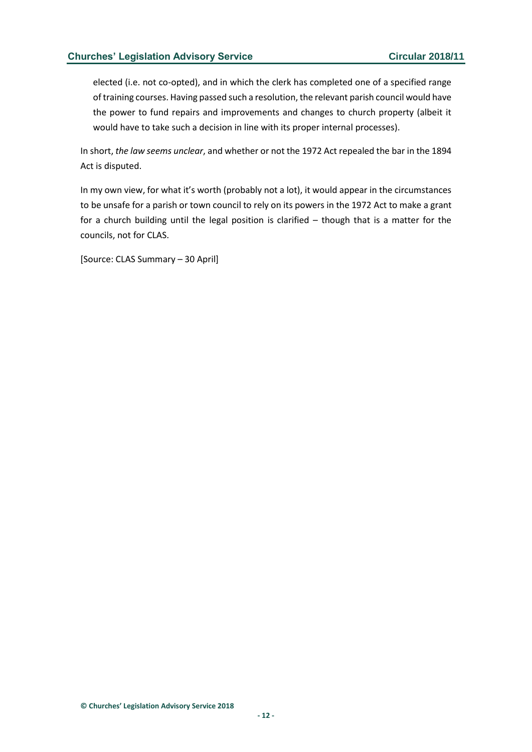elected (i.e. not co-opted), and in which the clerk has completed one of a specified range of training courses. Having passed such a resolution, the relevant parish council would have the power to fund repairs and improvements and changes to church property (albeit it would have to take such a decision in line with its proper internal processes).

In short, *the law seems unclear*, and whether or not the 1972 Act repealed the bar in the 1894 Act is disputed.

In my own view, for what it's worth (probably not a lot), it would appear in the circumstances to be unsafe for a parish or town council to rely on its powers in the 1972 Act to make a grant for a church building until the legal position is clarified – though that is a matter for the councils, not for CLAS.

[Source: CLAS Summary – 30 April]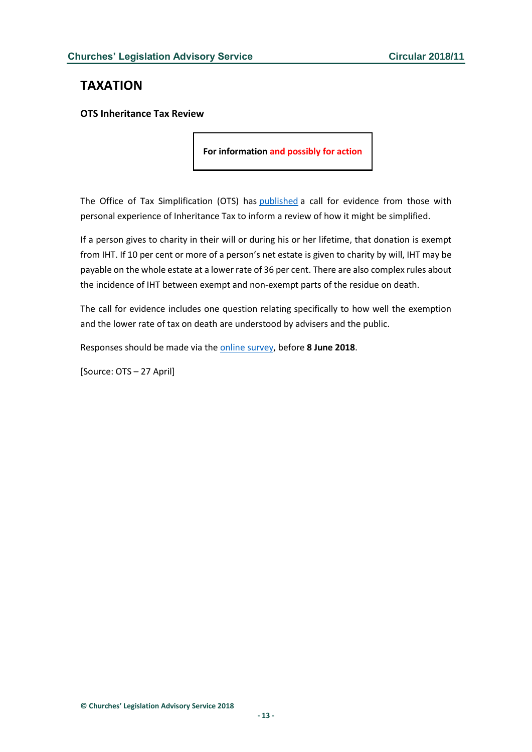# <span id="page-12-0"></span>**TAXATION**

### <span id="page-12-1"></span>**OTS Inheritance Tax Review**

**For information and possibly for action**

The Office of Tax Simplification (OTS) has [published](http://www.gov.uk/government/consultations/inheritance-tax-review-call-for-evidence-and-survey) a call for evidence from those with personal experience of Inheritance Tax to inform a review of how it might be simplified.

If a person gives to charity in their will or during his or her lifetime, that donation is exempt from IHT. If 10 per cent or more of a person's net estate is given to charity by will, IHT may be payable on the whole estate at a lower rate of 36 per cent. There are also complex rules about the incidence of IHT between exempt and non-exempt parts of the residue on death.

The call for evidence includes one question relating specifically to how well the exemption and the lower rate of tax on death are understood by advisers and the public.

Responses should be made via the [online survey,](http://www.surveymonkey.co.uk/r/SQTNNMT) before **8 June 2018**.

[Source: OTS – 27 April]